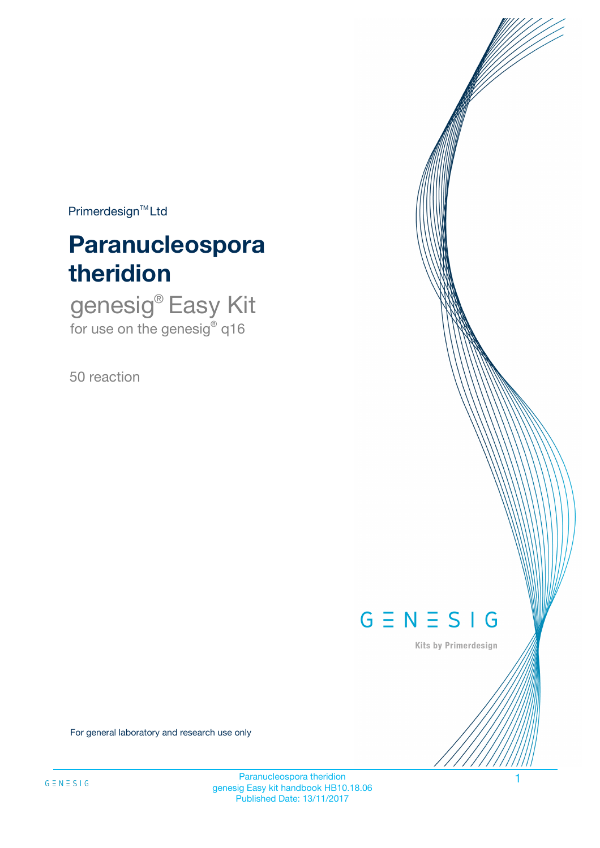$Primerdesign^{\text{TM}}Ltd$ 

# **Paranucleospora theridion**

genesig® Easy Kit for use on the genesig® q16

50 reaction



Kits by Primerdesign

For general laboratory and research use only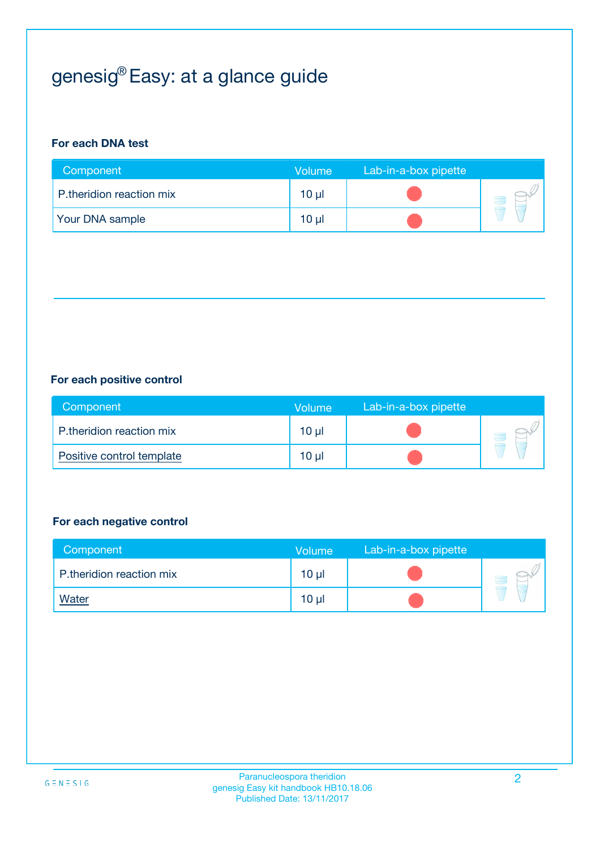## genesig® Easy: at a glance guide

## **For each DNA test**

| Component                | <b>Volume</b> | Lab-in-a-box pipette |  |
|--------------------------|---------------|----------------------|--|
| P.theridion reaction mix | $10 \mu$      |                      |  |
| <b>Your DNA sample</b>   | 10 µl         |                      |  |

### **For each positive control**

| Component                 | Volume          | Lab-in-a-box pipette |  |
|---------------------------|-----------------|----------------------|--|
| P.theridion reaction mix  | $10 \mu$        |                      |  |
| Positive control template | 10 <sub>µ</sub> |                      |  |

### **For each negative control**

| Component                | <b>Volume</b>   | Lab-in-a-box pipette |  |
|--------------------------|-----------------|----------------------|--|
| P.theridion reaction mix | 10 <sub>µ</sub> |                      |  |
| <u>Water</u>             | 10 <sub>µ</sub> |                      |  |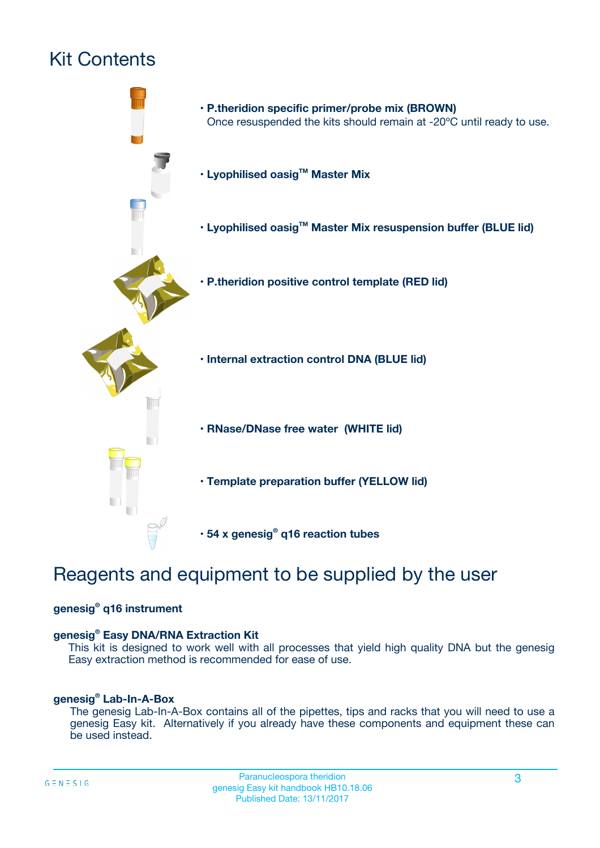## Kit Contents



## Reagents and equipment to be supplied by the user

### **genesig® q16 instrument**

### **genesig® Easy DNA/RNA Extraction Kit**

This kit is designed to work well with all processes that yield high quality DNA but the genesig Easy extraction method is recommended for ease of use.

### **genesig® Lab-In-A-Box**

The genesig Lab-In-A-Box contains all of the pipettes, tips and racks that you will need to use a genesig Easy kit. Alternatively if you already have these components and equipment these can be used instead.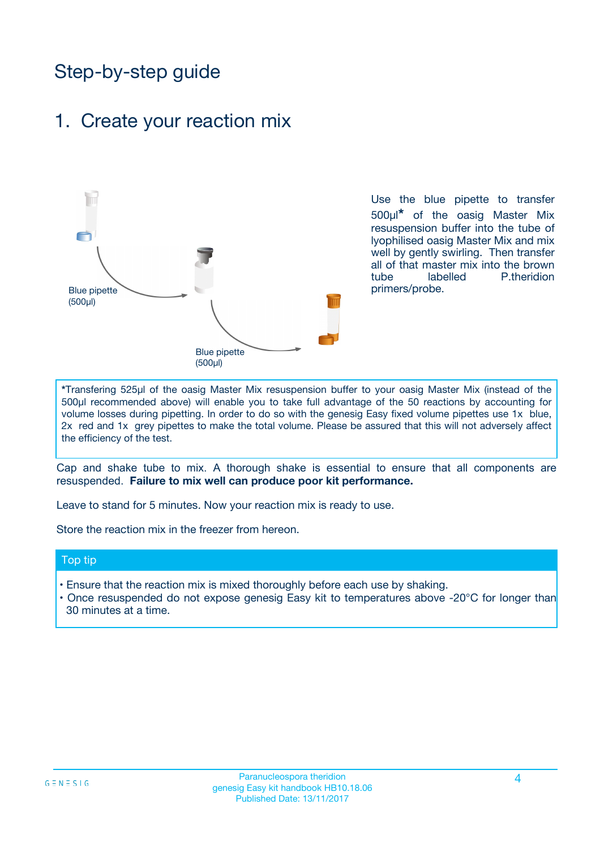## Step-by-step guide

## 1. Create your reaction mix



Use the blue pipette to transfer 500µl**\*** of the oasig Master Mix resuspension buffer into the tube of lyophilised oasig Master Mix and mix well by gently swirling. Then transfer all of that master mix into the brown tube labelled P.theridion primers/probe.

**\***Transfering 525µl of the oasig Master Mix resuspension buffer to your oasig Master Mix (instead of the 500µl recommended above) will enable you to take full advantage of the 50 reactions by accounting for volume losses during pipetting. In order to do so with the genesig Easy fixed volume pipettes use 1x blue, 2x red and 1x grey pipettes to make the total volume. Please be assured that this will not adversely affect the efficiency of the test.

Cap and shake tube to mix. A thorough shake is essential to ensure that all components are resuspended. **Failure to mix well can produce poor kit performance.**

Leave to stand for 5 minutes. Now your reaction mix is ready to use.

Store the reaction mix in the freezer from hereon.

### Top tip

- Ensure that the reaction mix is mixed thoroughly before each use by shaking.
- Once resuspended do not expose genesig Easy kit to temperatures above -20°C for longer than 30 minutes at a time.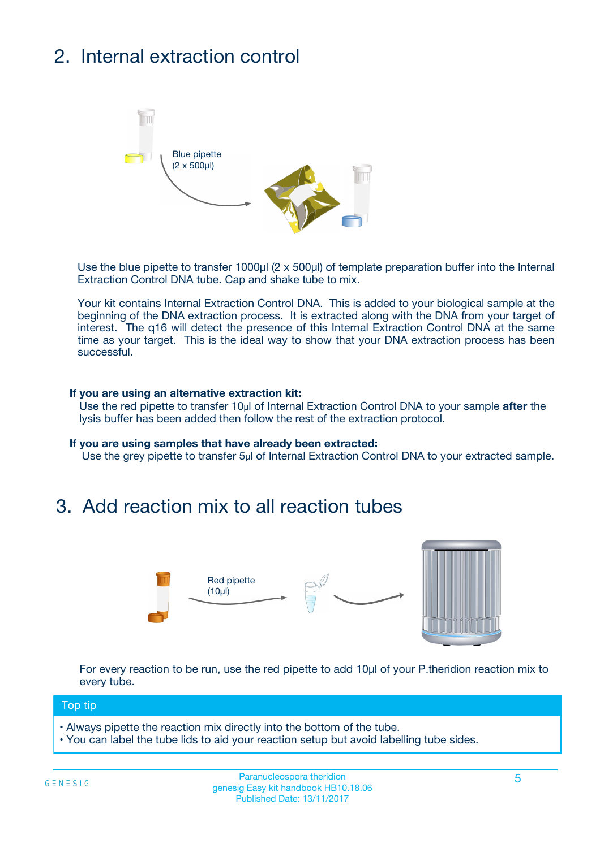## 2. Internal extraction control



Use the blue pipette to transfer 1000µl (2 x 500µl) of template preparation buffer into the Internal Extraction Control DNA tube. Cap and shake tube to mix.

Your kit contains Internal Extraction Control DNA. This is added to your biological sample at the beginning of the DNA extraction process. It is extracted along with the DNA from your target of interest. The q16 will detect the presence of this Internal Extraction Control DNA at the same time as your target. This is the ideal way to show that your DNA extraction process has been successful.

### **If you are using an alternative extraction kit:**

Use the red pipette to transfer 10µl of Internal Extraction Control DNA to your sample **after** the lysis buffer has been added then follow the rest of the extraction protocol.

#### **If you are using samples that have already been extracted:**

Use the grey pipette to transfer 5µl of Internal Extraction Control DNA to your extracted sample.

## 3. Add reaction mix to all reaction tubes



For every reaction to be run, use the red pipette to add 10µl of your P.theridion reaction mix to every tube.

### Top tip

- Always pipette the reaction mix directly into the bottom of the tube.
- You can label the tube lids to aid your reaction setup but avoid labelling tube sides.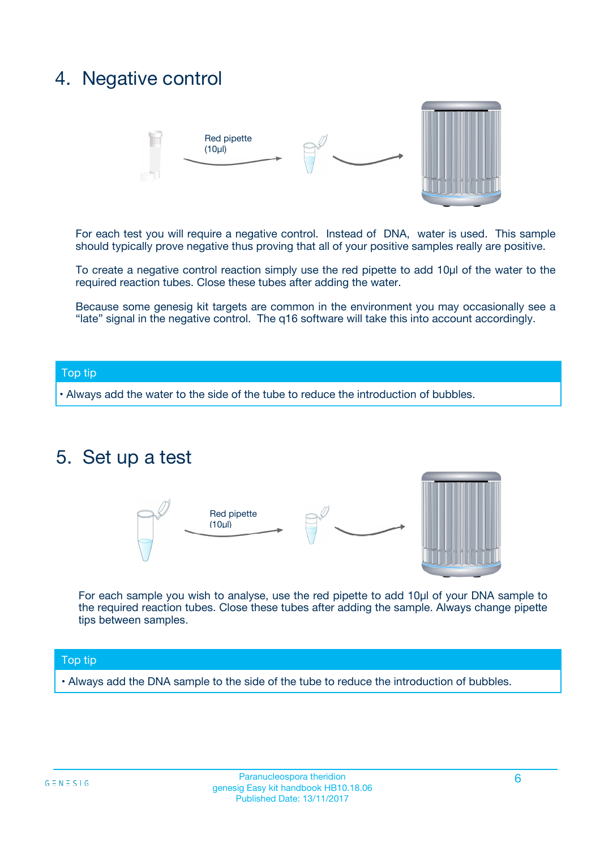## 4. Negative control



For each test you will require a negative control. Instead of DNA, water is used. This sample should typically prove negative thus proving that all of your positive samples really are positive.

To create a negative control reaction simply use the red pipette to add 10µl of the water to the required reaction tubes. Close these tubes after adding the water.

Because some genesig kit targets are common in the environment you may occasionally see a "late" signal in the negative control. The q16 software will take this into account accordingly.

### Top tip

**•** Always add the water to the side of the tube to reduce the introduction of bubbles.

## 5. Set up a test



For each sample you wish to analyse, use the red pipette to add 10µl of your DNA sample to the required reaction tubes. Close these tubes after adding the sample. Always change pipette tips between samples.

### Top tip

**•** Always add the DNA sample to the side of the tube to reduce the introduction of bubbles.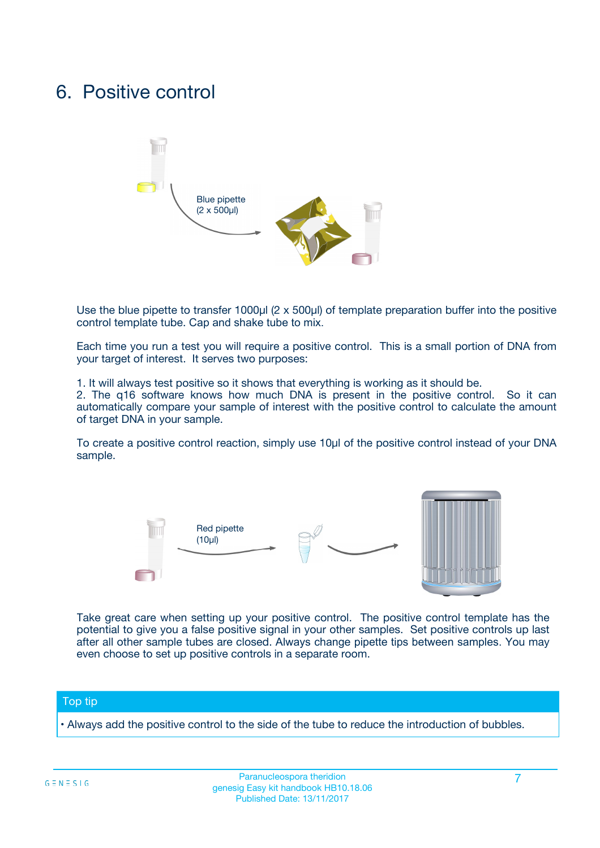## 6. Positive control



Use the blue pipette to transfer 1000µl (2 x 500µl) of template preparation buffer into the positive control template tube. Cap and shake tube to mix.

Each time you run a test you will require a positive control. This is a small portion of DNA from your target of interest. It serves two purposes:

1. It will always test positive so it shows that everything is working as it should be.

2. The q16 software knows how much DNA is present in the positive control. So it can automatically compare your sample of interest with the positive control to calculate the amount of target DNA in your sample.

To create a positive control reaction, simply use 10µl of the positive control instead of your DNA sample.



Take great care when setting up your positive control. The positive control template has the potential to give you a false positive signal in your other samples. Set positive controls up last after all other sample tubes are closed. Always change pipette tips between samples. You may even choose to set up positive controls in a separate room.

### Top tip

**•** Always add the positive control to the side of the tube to reduce the introduction of bubbles.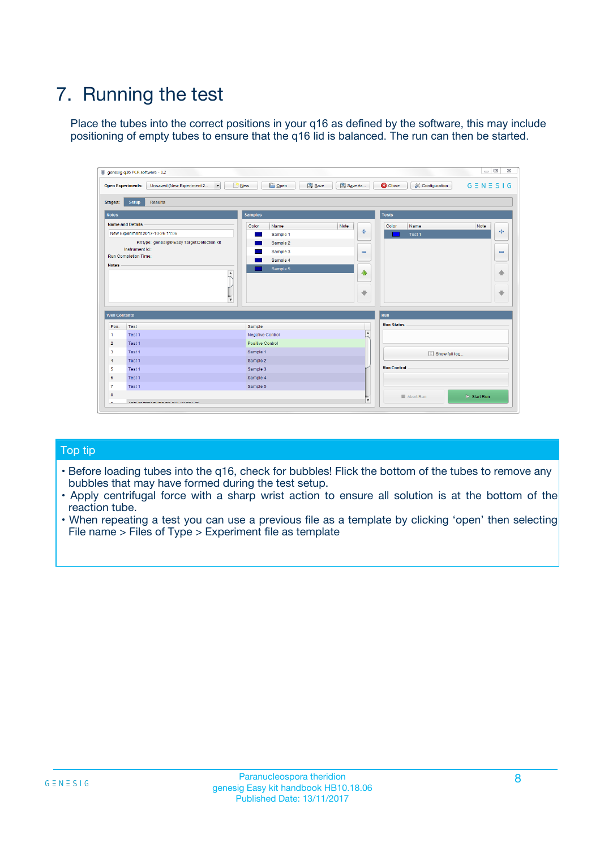## 7. Running the test

Place the tubes into the correct positions in your q16 as defined by the software, this may include positioning of empty tubes to ensure that the q16 lid is balanced. The run can then be started.

| genesig q16 PCR software - 1.2                                                    |                                                         | $\Box$ $\Box$                                                                               | $\Sigma\!3$                  |
|-----------------------------------------------------------------------------------|---------------------------------------------------------|---------------------------------------------------------------------------------------------|------------------------------|
| $\overline{\phantom{a}}$<br>Unsaved (New Experiment 2<br><b>Open Experiments:</b> | <b>B</b> Open<br>$\frac{1}{2}$ New                      | Save<br>Save As<br>$G \equiv N \equiv S \mid G$<br><b>C</b> Close<br><b>X</b> Configuration |                              |
| Setup<br><b>Results</b><br><b>Stages:</b>                                         |                                                         |                                                                                             |                              |
| <b>Notes</b>                                                                      | <b>Samples</b>                                          | <b>Tests</b>                                                                                |                              |
| <b>Name and Details</b>                                                           | Color<br>Name                                           | Note<br>Color<br>Name<br>Note                                                               |                              |
| New Experiment 2017-10-26 11:06                                                   | Sample 1                                                | $\oplus$<br>Test 1                                                                          | $\ddot{\Phi}$                |
| Kit type: genesig® Easy Target Detection kit                                      | Sample 2                                                |                                                                                             |                              |
| Instrument Id.:                                                                   | Sample 3                                                | $\qquad \qquad \blacksquare$                                                                | $\qquad \qquad \blacksquare$ |
| <b>Run Completion Time:</b><br><b>Notes</b>                                       | Sample 4                                                |                                                                                             |                              |
|                                                                                   | Sample 5<br>$\blacktriangle$<br>$\overline{\mathbf{v}}$ | $\triangle$<br>$\overline{\phantom{a}}$                                                     | ♠<br>⊕                       |
| <b>Well Contents</b>                                                              |                                                         | Run                                                                                         |                              |
| Pos.<br>Test                                                                      | Sample                                                  | <b>Run Status</b>                                                                           |                              |
| Test 1<br>$\mathbf{1}$                                                            | <b>Negative Control</b>                                 | $\overline{\phantom{a}}$                                                                    |                              |
| $\overline{2}$<br>Test 1                                                          | Positive Control                                        |                                                                                             |                              |
| $\overline{\mathbf{3}}$<br>Test 1                                                 | Sample 1                                                | Show full log                                                                               |                              |
| Test 1<br>$\overline{4}$                                                          | Sample 2                                                |                                                                                             |                              |
| 5<br>Test 1                                                                       | Sample 3                                                | <b>Run Control</b>                                                                          |                              |
| Test 1<br>6                                                                       | Sample 4                                                |                                                                                             |                              |
| Test 1<br>7                                                                       | Sample 5                                                |                                                                                             |                              |
| 8                                                                                 |                                                         | $\triangleright$ Start Run<br>Abort Run<br>v                                                |                              |
|                                                                                   |                                                         |                                                                                             |                              |

### Top tip

- Before loading tubes into the q16, check for bubbles! Flick the bottom of the tubes to remove any bubbles that may have formed during the test setup.
- Apply centrifugal force with a sharp wrist action to ensure all solution is at the bottom of the reaction tube.
- When repeating a test you can use a previous file as a template by clicking 'open' then selecting File name > Files of Type > Experiment file as template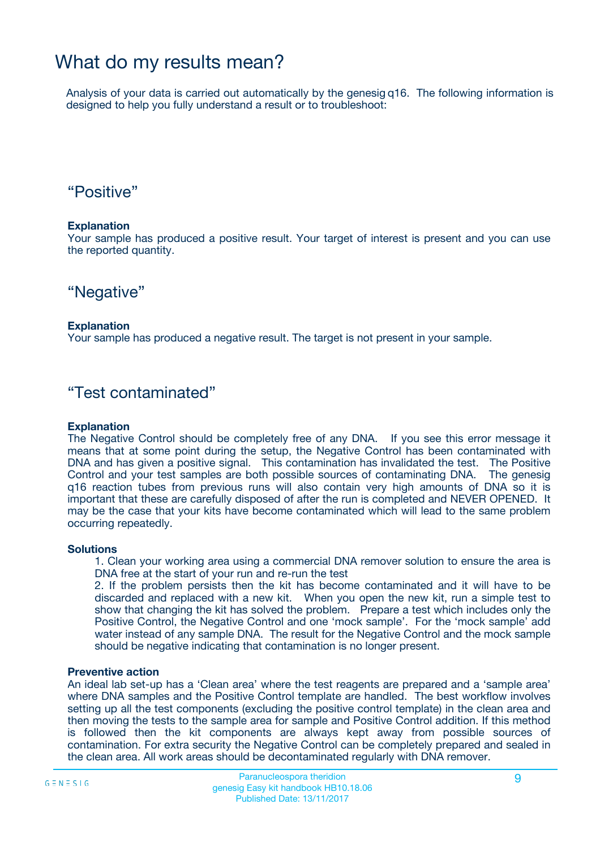## What do my results mean?

Analysis of your data is carried out automatically by the genesig q16. The following information is designed to help you fully understand a result or to troubleshoot:

## "Positive"

### **Explanation**

Your sample has produced a positive result. Your target of interest is present and you can use the reported quantity.

## "Negative"

### **Explanation**

Your sample has produced a negative result. The target is not present in your sample.

## "Test contaminated"

### **Explanation**

The Negative Control should be completely free of any DNA. If you see this error message it means that at some point during the setup, the Negative Control has been contaminated with DNA and has given a positive signal. This contamination has invalidated the test. The Positive Control and your test samples are both possible sources of contaminating DNA. The genesig q16 reaction tubes from previous runs will also contain very high amounts of DNA so it is important that these are carefully disposed of after the run is completed and NEVER OPENED. It may be the case that your kits have become contaminated which will lead to the same problem occurring repeatedly.

### **Solutions**

1. Clean your working area using a commercial DNA remover solution to ensure the area is DNA free at the start of your run and re-run the test

2. If the problem persists then the kit has become contaminated and it will have to be discarded and replaced with a new kit. When you open the new kit, run a simple test to show that changing the kit has solved the problem. Prepare a test which includes only the Positive Control, the Negative Control and one 'mock sample'. For the 'mock sample' add water instead of any sample DNA. The result for the Negative Control and the mock sample should be negative indicating that contamination is no longer present.

### **Preventive action**

An ideal lab set-up has a 'Clean area' where the test reagents are prepared and a 'sample area' where DNA samples and the Positive Control template are handled. The best workflow involves setting up all the test components (excluding the positive control template) in the clean area and then moving the tests to the sample area for sample and Positive Control addition. If this method is followed then the kit components are always kept away from possible sources of contamination. For extra security the Negative Control can be completely prepared and sealed in the clean area. All work areas should be decontaminated regularly with DNA remover.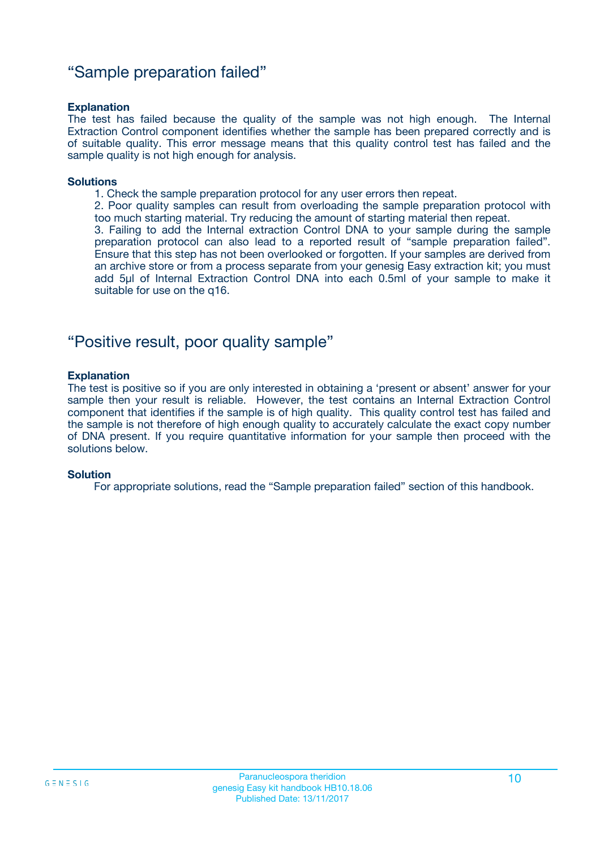## "Sample preparation failed"

### **Explanation**

The test has failed because the quality of the sample was not high enough. The Internal Extraction Control component identifies whether the sample has been prepared correctly and is of suitable quality. This error message means that this quality control test has failed and the sample quality is not high enough for analysis.

#### **Solutions**

1. Check the sample preparation protocol for any user errors then repeat.

2. Poor quality samples can result from overloading the sample preparation protocol with too much starting material. Try reducing the amount of starting material then repeat.

3. Failing to add the Internal extraction Control DNA to your sample during the sample preparation protocol can also lead to a reported result of "sample preparation failed". Ensure that this step has not been overlooked or forgotten. If your samples are derived from an archive store or from a process separate from your genesig Easy extraction kit; you must add 5µl of Internal Extraction Control DNA into each 0.5ml of your sample to make it suitable for use on the q16.

## "Positive result, poor quality sample"

### **Explanation**

The test is positive so if you are only interested in obtaining a 'present or absent' answer for your sample then your result is reliable. However, the test contains an Internal Extraction Control component that identifies if the sample is of high quality. This quality control test has failed and the sample is not therefore of high enough quality to accurately calculate the exact copy number of DNA present. If you require quantitative information for your sample then proceed with the solutions below.

### **Solution**

For appropriate solutions, read the "Sample preparation failed" section of this handbook.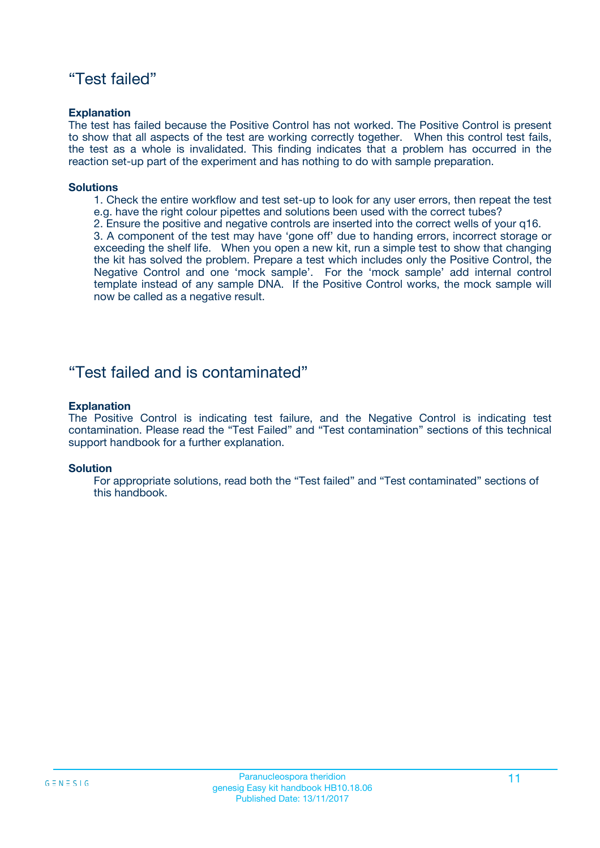## "Test failed"

### **Explanation**

The test has failed because the Positive Control has not worked. The Positive Control is present to show that all aspects of the test are working correctly together. When this control test fails, the test as a whole is invalidated. This finding indicates that a problem has occurred in the reaction set-up part of the experiment and has nothing to do with sample preparation.

### **Solutions**

- 1. Check the entire workflow and test set-up to look for any user errors, then repeat the test e.g. have the right colour pipettes and solutions been used with the correct tubes?
- 2. Ensure the positive and negative controls are inserted into the correct wells of your q16.

3. A component of the test may have 'gone off' due to handing errors, incorrect storage or exceeding the shelf life. When you open a new kit, run a simple test to show that changing the kit has solved the problem. Prepare a test which includes only the Positive Control, the Negative Control and one 'mock sample'. For the 'mock sample' add internal control template instead of any sample DNA. If the Positive Control works, the mock sample will now be called as a negative result.

## "Test failed and is contaminated"

### **Explanation**

The Positive Control is indicating test failure, and the Negative Control is indicating test contamination. Please read the "Test Failed" and "Test contamination" sections of this technical support handbook for a further explanation.

### **Solution**

For appropriate solutions, read both the "Test failed" and "Test contaminated" sections of this handbook.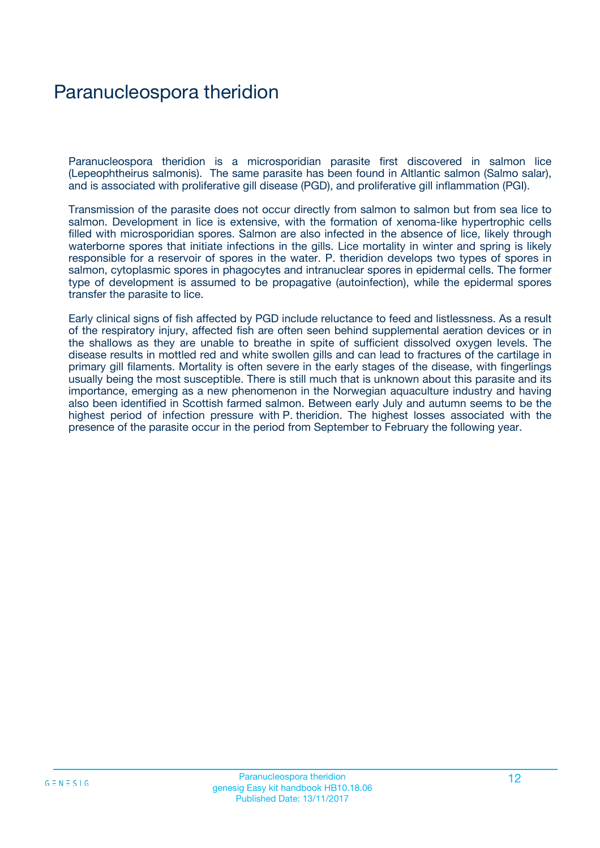## Paranucleospora theridion

Paranucleospora theridion is a microsporidian parasite first discovered in salmon lice (Lepeophtheirus salmonis). The same parasite has been found in Altlantic salmon (Salmo salar), and is associated with proliferative gill disease (PGD), and proliferative gill inflammation (PGI).

Transmission of the parasite does not occur directly from salmon to salmon but from sea lice to salmon. Development in lice is extensive, with the formation of xenoma-like hypertrophic cells filled with microsporidian spores. Salmon are also infected in the absence of lice, likely through waterborne spores that initiate infections in the gills. Lice mortality in winter and spring is likely responsible for a reservoir of spores in the water. P. theridion develops two types of spores in salmon, cytoplasmic spores in phagocytes and intranuclear spores in epidermal cells. The former type of development is assumed to be propagative (autoinfection), while the epidermal spores transfer the parasite to lice.

Early clinical signs of fish affected by PGD include reluctance to feed and listlessness. As a result of the respiratory injury, affected fish are often seen behind supplemental aeration devices or in the shallows as they are unable to breathe in spite of sufficient dissolved oxygen levels. The disease results in mottled red and white swollen gills and can lead to fractures of the cartilage in primary gill filaments. Mortality is often severe in the early stages of the disease, with fingerlings usually being the most susceptible. There is still much that is unknown about this parasite and its importance, emerging as a new phenomenon in the Norwegian aquaculture industry and having also been identified in Scottish farmed salmon. Between early July and autumn seems to be the highest period of infection pressure with P. theridion. The highest losses associated with the presence of the parasite occur in the period from September to February the following year.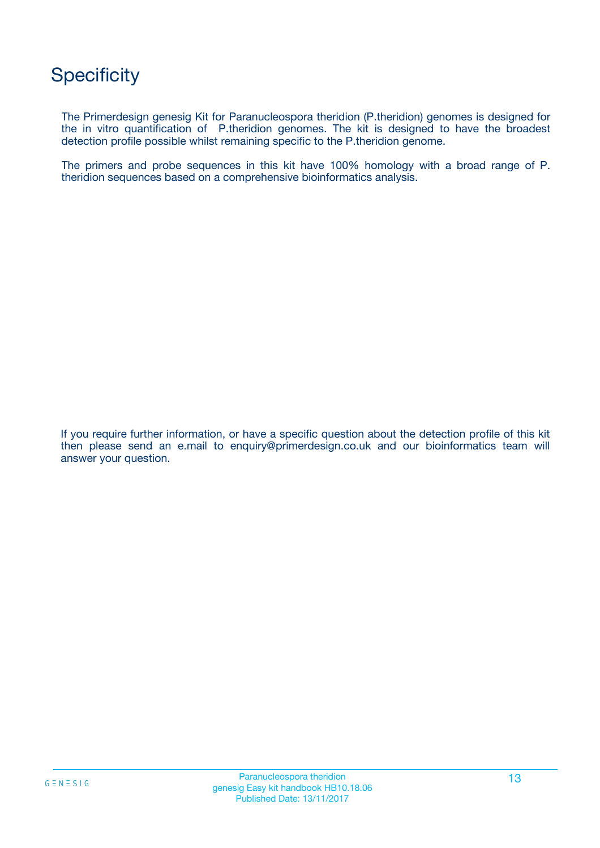## **Specificity**

The Primerdesign genesig Kit for Paranucleospora theridion (P.theridion) genomes is designed for the in vitro quantification of P.theridion genomes. The kit is designed to have the broadest detection profile possible whilst remaining specific to the P.theridion genome.

The primers and probe sequences in this kit have 100% homology with a broad range of P. theridion sequences based on a comprehensive bioinformatics analysis.

If you require further information, or have a specific question about the detection profile of this kit then please send an e.mail to enquiry@primerdesign.co.uk and our bioinformatics team will answer your question.